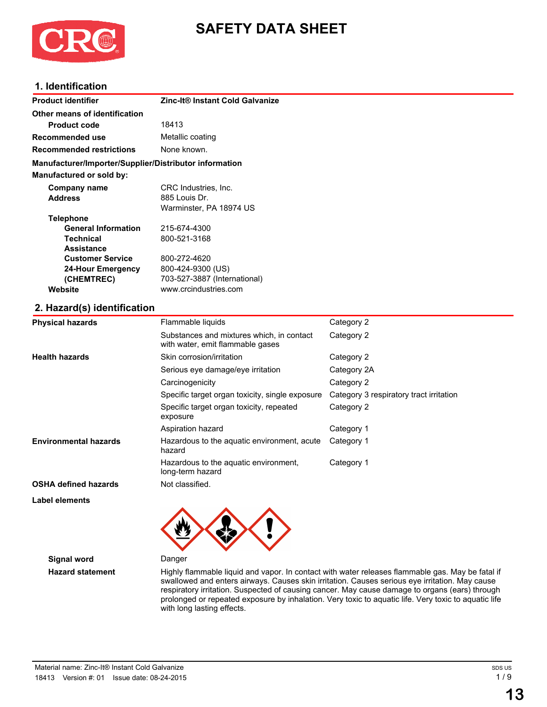

# **SAFETY DATA SHEET**

# **1. Identification**

| <b>Product identifier</b>                              | Zinc-It® Instant Cold Galvanize |
|--------------------------------------------------------|---------------------------------|
| Other means of identification                          |                                 |
| <b>Product code</b>                                    | 18413                           |
| Recommended use                                        | Metallic coating                |
| <b>Recommended restrictions</b>                        | None known.                     |
| Manufacturer/Importer/Supplier/Distributor information |                                 |
| <b>Manufactured or sold by:</b>                        |                                 |
| Company name                                           | CRC Industries, Inc.            |
| <b>Address</b>                                         | 885 Louis Dr.                   |
|                                                        | Warminster, PA 18974 US         |
| <b>Telephone</b>                                       |                                 |
| <b>General Information</b>                             | 215-674-4300                    |
| <b>Technical</b>                                       | 800-521-3168                    |
| <b>Assistance</b>                                      |                                 |
| <b>Customer Service</b>                                | 800-272-4620                    |
| <b>24-Hour Emergency</b>                               | 800-424-9300 (US)               |
| (CHEMTREC)                                             | 703-527-3887 (International)    |
| Website                                                | www.crcindustries.com           |
| 2. Hazard(s) identification                            |                                 |

| <b>Physical hazards</b>      | Flammable liquids                                                             | Category 2                              |
|------------------------------|-------------------------------------------------------------------------------|-----------------------------------------|
|                              | Substances and mixtures which, in contact<br>with water, emit flammable gases | Category 2                              |
| <b>Health hazards</b>        | Skin corrosion/irritation                                                     | Category 2                              |
|                              | Serious eye damage/eye irritation                                             | Category 2A                             |
|                              | Carcinogenicity                                                               | Category 2                              |
|                              | Specific target organ toxicity, single exposure                               | Category 3 respiratory tract irritation |
|                              | Specific target organ toxicity, repeated<br>exposure                          | Category 2                              |
|                              | Aspiration hazard                                                             | Category 1                              |
| <b>Environmental hazards</b> | Hazardous to the aquatic environment, acute<br>hazard                         | Category 1                              |
|                              | Hazardous to the aquatic environment,<br>long-term hazard                     | Category 1                              |
| <b>OSHA defined hazards</b>  | Not classified.                                                               |                                         |

**Label elements**



**Signal word** Danger

**Hazard statement** Highly flammable liquid and vapor. In contact with water releases flammable gas. May be fatal if swallowed and enters airways. Causes skin irritation. Causes serious eye irritation. May cause respiratory irritation. Suspected of causing cancer. May cause damage to organs (ears) through prolonged or repeated exposure by inhalation. Very toxic to aquatic life. Very toxic to aquatic life with long lasting effects.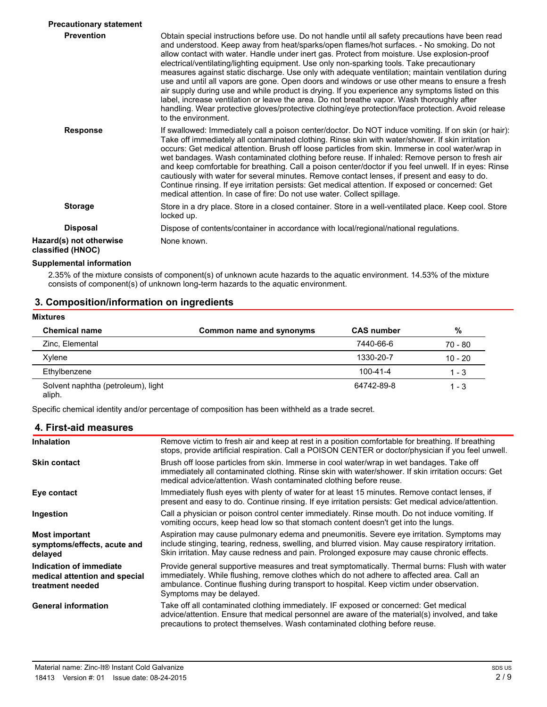| <b>Precautionary statement</b>               |                                                                                                                                                                                                                                                                                                                                                                                                                                                                                                                                                                                                                                                                                                                                                                                                                                                                                                                                     |
|----------------------------------------------|-------------------------------------------------------------------------------------------------------------------------------------------------------------------------------------------------------------------------------------------------------------------------------------------------------------------------------------------------------------------------------------------------------------------------------------------------------------------------------------------------------------------------------------------------------------------------------------------------------------------------------------------------------------------------------------------------------------------------------------------------------------------------------------------------------------------------------------------------------------------------------------------------------------------------------------|
| <b>Prevention</b>                            | Obtain special instructions before use. Do not handle until all safety precautions have been read<br>and understood. Keep away from heat/sparks/open flames/hot surfaces. - No smoking. Do not<br>allow contact with water. Handle under inert gas. Protect from moisture. Use explosion-proof<br>electrical/ventilating/lighting equipment. Use only non-sparking tools. Take precautionary<br>measures against static discharge. Use only with adequate ventilation; maintain ventilation during<br>use and until all vapors are gone. Open doors and windows or use other means to ensure a fresh<br>air supply during use and while product is drying. If you experience any symptoms listed on this<br>label, increase ventilation or leave the area. Do not breathe vapor. Wash thoroughly after<br>handling. Wear protective gloves/protective clothing/eye protection/face protection. Avoid release<br>to the environment. |
| <b>Response</b>                              | If swallowed: Immediately call a poison center/doctor. Do NOT induce vomiting. If on skin (or hair):<br>Take off immediately all contaminated clothing. Rinse skin with water/shower. If skin irritation<br>occurs: Get medical attention. Brush off loose particles from skin. Immerse in cool water/wrap in<br>wet bandages. Wash contaminated clothing before reuse. If inhaled: Remove person to fresh air<br>and keep comfortable for breathing. Call a poison center/doctor if you feel unwell. If in eyes: Rinse<br>cautiously with water for several minutes. Remove contact lenses, if present and easy to do.<br>Continue rinsing. If eye irritation persists: Get medical attention. If exposed or concerned: Get<br>medical attention. In case of fire: Do not use water. Collect spillage.                                                                                                                             |
| <b>Storage</b>                               | Store in a dry place. Store in a closed container. Store in a well-ventilated place. Keep cool. Store<br>locked up.                                                                                                                                                                                                                                                                                                                                                                                                                                                                                                                                                                                                                                                                                                                                                                                                                 |
| <b>Disposal</b>                              | Dispose of contents/container in accordance with local/regional/national regulations.                                                                                                                                                                                                                                                                                                                                                                                                                                                                                                                                                                                                                                                                                                                                                                                                                                               |
| Hazard(s) not otherwise<br>classified (HNOC) | None known.                                                                                                                                                                                                                                                                                                                                                                                                                                                                                                                                                                                                                                                                                                                                                                                                                                                                                                                         |

#### **Supplemental information**

2.35% of the mixture consists of component(s) of unknown acute hazards to the aquatic environment. 14.53% of the mixture consists of component(s) of unknown long-term hazards to the aquatic environment.

#### **3. Composition/information on ingredients**

| <b>Mixtures</b>                              |                          |                   |           |  |
|----------------------------------------------|--------------------------|-------------------|-----------|--|
| <b>Chemical name</b>                         | Common name and synonyms | <b>CAS number</b> | %         |  |
| Zinc, Elemental                              |                          | 7440-66-6         | $70 - 80$ |  |
| Xylene                                       |                          | 1330-20-7         | $10 - 20$ |  |
| Ethylbenzene                                 |                          | $100 - 41 - 4$    | $1 - 3$   |  |
| Solvent naphtha (petroleum), light<br>aliph. |                          | 64742-89-8        | 1 - 3     |  |

Specific chemical identity and/or percentage of composition has been withheld as a trade secret.

### **4. First-aid measures**

| <b>Inhalation</b>                                                            | Remove victim to fresh air and keep at rest in a position comfortable for breathing. If breathing<br>stops, provide artificial respiration. Call a POISON CENTER or doctor/physician if you feel unwell.                                                                                                             |  |
|------------------------------------------------------------------------------|----------------------------------------------------------------------------------------------------------------------------------------------------------------------------------------------------------------------------------------------------------------------------------------------------------------------|--|
| <b>Skin contact</b>                                                          | Brush off loose particles from skin. Immerse in cool water/wrap in wet bandages. Take off<br>immediately all contaminated clothing. Rinse skin with water/shower. If skin irritation occurs: Get<br>medical advice/attention. Wash contaminated clothing before reuse.                                               |  |
| Eye contact                                                                  | Immediately flush eyes with plenty of water for at least 15 minutes. Remove contact lenses, if<br>present and easy to do. Continue rinsing. If eye irritation persists: Get medical advice/attention.                                                                                                                |  |
| Ingestion                                                                    | Call a physician or poison control center immediately. Rinse mouth. Do not induce vomiting. If<br>vomiting occurs, keep head low so that stomach content doesn't get into the lungs.                                                                                                                                 |  |
| <b>Most important</b><br>symptoms/effects, acute and<br>delayed              | Aspiration may cause pulmonary edema and pneumonitis. Severe eye irritation. Symptoms may<br>include stinging, tearing, redness, swelling, and blurred vision. May cause respiratory irritation.<br>Skin irritation. May cause redness and pain. Prolonged exposure may cause chronic effects.                       |  |
| Indication of immediate<br>medical attention and special<br>treatment needed | Provide general supportive measures and treat symptomatically. Thermal burns: Flush with water<br>immediately. While flushing, remove clothes which do not adhere to affected area. Call an<br>ambulance. Continue flushing during transport to hospital. Keep victim under observation.<br>Symptoms may be delayed. |  |
| <b>General information</b>                                                   | Take off all contaminated clothing immediately. IF exposed or concerned: Get medical<br>advice/attention. Ensure that medical personnel are aware of the material(s) involved, and take<br>precautions to protect themselves. Wash contaminated clothing before reuse.                                               |  |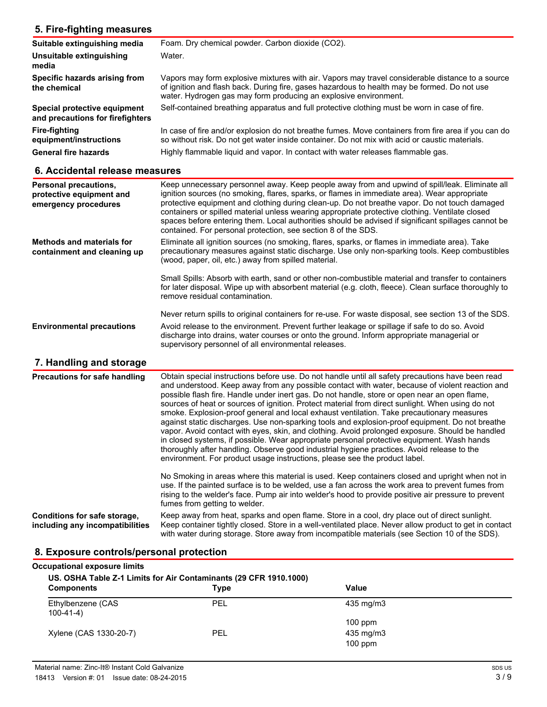#### **5. Fire-fighting measures Suitable extinguishing media** Foam. Dry chemical powder. Carbon dioxide (CO2). **Unsuitable extinguishing Water. media** Vapors may form explosive mixtures with air. Vapors may travel considerable distance to a source of ignition and flash back. During fire, gases hazardous to health may be formed. Do not use water. Hydrogen gas may form producing an explosive environment. **Specific hazards arising from the chemical Special protective equipment** Self-contained breathing apparatus and full protective clothing must be worn in case of fire. **and precautions for firefighters Fire-fighting equipment/instructions** In case of fire and/or explosion do not breathe fumes. Move containers from fire area if you can do so without risk. Do not get water inside container. Do not mix with acid or caustic materials. General fire hazards **Highly flammable liquid and vapor.** In contact with water releases flammable gas.

#### **6. Accidental release measures**

| Personal precautions,<br>protective equipment and<br>emergency procedures | Keep unnecessary personnel away. Keep people away from and upwind of spill/leak. Eliminate all<br>ignition sources (no smoking, flares, sparks, or flames in immediate area). Wear appropriate<br>protective equipment and clothing during clean-up. Do not breathe vapor. Do not touch damaged<br>containers or spilled material unless wearing appropriate protective clothing. Ventilate closed<br>spaces before entering them. Local authorities should be advised if significant spillages cannot be<br>contained. For personal protection, see section 8 of the SDS. |
|---------------------------------------------------------------------------|----------------------------------------------------------------------------------------------------------------------------------------------------------------------------------------------------------------------------------------------------------------------------------------------------------------------------------------------------------------------------------------------------------------------------------------------------------------------------------------------------------------------------------------------------------------------------|
| <b>Methods and materials for</b><br>containment and cleaning up           | Eliminate all ignition sources (no smoking, flares, sparks, or flames in immediate area). Take<br>precautionary measures against static discharge. Use only non-sparking tools. Keep combustibles<br>(wood, paper, oil, etc.) away from spilled material.                                                                                                                                                                                                                                                                                                                  |
|                                                                           | Small Spills: Absorb with earth, sand or other non-combustible material and transfer to containers<br>for later disposal. Wipe up with absorbent material (e.g. cloth, fleece). Clean surface thoroughly to<br>remove residual contamination.                                                                                                                                                                                                                                                                                                                              |
|                                                                           | Never return spills to original containers for re-use. For waste disposal, see section 13 of the SDS.                                                                                                                                                                                                                                                                                                                                                                                                                                                                      |
| <b>Environmental precautions</b>                                          | Avoid release to the environment. Prevent further leakage or spillage if safe to do so. Avoid<br>discharge into drains, water courses or onto the ground. Inform appropriate managerial or<br>supervisory personnel of all environmental releases.                                                                                                                                                                                                                                                                                                                         |

# **7. Handling and storage**

| <b>Precautions for safe handling</b>                            | Obtain special instructions before use. Do not handle until all safety precautions have been read<br>and understood. Keep away from any possible contact with water, because of violent reaction and<br>possible flash fire. Handle under inert gas. Do not handle, store or open near an open flame,<br>sources of heat or sources of ignition. Protect material from direct sunlight. When using do not<br>smoke. Explosion-proof general and local exhaust ventilation. Take precautionary measures<br>against static discharges. Use non-sparking tools and explosion-proof equipment. Do not breathe<br>vapor. Avoid contact with eyes, skin, and clothing. Avoid prolonged exposure. Should be handled<br>in closed systems, if possible. Wear appropriate personal protective equipment. Wash hands<br>thoroughly after handling. Observe good industrial hygiene practices. Avoid release to the<br>environment. For product usage instructions, please see the product label. |
|-----------------------------------------------------------------|----------------------------------------------------------------------------------------------------------------------------------------------------------------------------------------------------------------------------------------------------------------------------------------------------------------------------------------------------------------------------------------------------------------------------------------------------------------------------------------------------------------------------------------------------------------------------------------------------------------------------------------------------------------------------------------------------------------------------------------------------------------------------------------------------------------------------------------------------------------------------------------------------------------------------------------------------------------------------------------|
|                                                                 | No Smoking in areas where this material is used. Keep containers closed and upright when not in<br>use. If the painted surface is to be welded, use a fan across the work area to prevent fumes from<br>rising to the welder's face. Pump air into welder's hood to provide positive air pressure to prevent<br>fumes from getting to welder.                                                                                                                                                                                                                                                                                                                                                                                                                                                                                                                                                                                                                                          |
| Conditions for safe storage,<br>including any incompatibilities | Keep away from heat, sparks and open flame. Store in a cool, dry place out of direct sunlight.<br>Keep container tightly closed. Store in a well-ventilated place. Never allow product to get in contact<br>with water during storage. Store away from incompatible materials (see Section 10 of the SDS).                                                                                                                                                                                                                                                                                                                                                                                                                                                                                                                                                                                                                                                                             |

### **8. Exposure controls/personal protection**

| Occupational exposure limits<br>US. OSHA Table Z-1 Limits for Air Contaminants (29 CFR 1910.1000) |             |           |  |  |
|---------------------------------------------------------------------------------------------------|-------------|-----------|--|--|
| <b>Components</b>                                                                                 | <b>Type</b> | Value     |  |  |
| Ethylbenzene (CAS<br>$100-41-4)$                                                                  | PEL         | 435 mg/m3 |  |  |
|                                                                                                   |             | $100$ ppm |  |  |
| Xylene (CAS 1330-20-7)                                                                            | PEL         | 435 mg/m3 |  |  |
|                                                                                                   |             | $100$ ppm |  |  |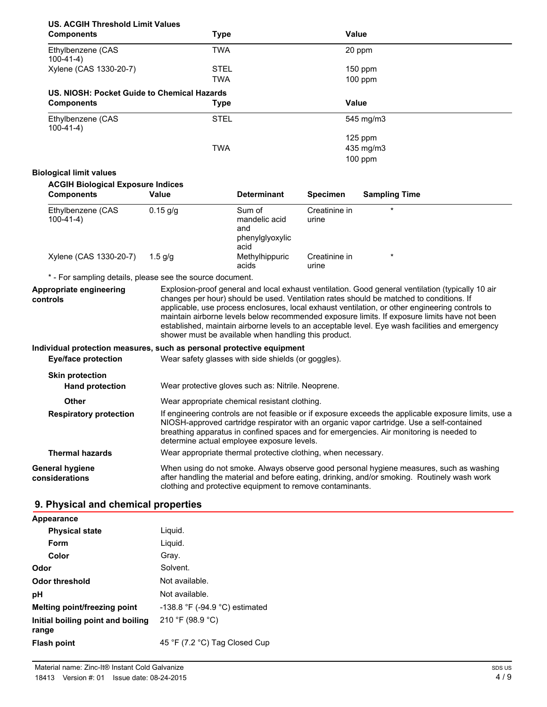| <b>Components</b>                        | <b>Type</b>                                 |                    | Value           |                      |  |
|------------------------------------------|---------------------------------------------|--------------------|-----------------|----------------------|--|
| Ethylbenzene (CAS<br>$100-41-4)$         | TWA                                         |                    |                 | 20 ppm               |  |
| Xylene (CAS 1330-20-7)                   | <b>STEL</b>                                 |                    |                 | 150 ppm              |  |
|                                          | TWA                                         |                    |                 | $100$ ppm            |  |
|                                          | US. NIOSH: Pocket Guide to Chemical Hazards |                    |                 |                      |  |
| <b>Components</b>                        | Type                                        |                    | Value           |                      |  |
| Ethylbenzene (CAS<br>$100 - 41 - 4$      | <b>STEL</b>                                 |                    |                 | 545 mg/m3            |  |
|                                          |                                             |                    |                 | $125$ ppm            |  |
|                                          | TWA                                         |                    |                 | 435 mg/m3            |  |
|                                          |                                             |                    |                 | $100$ ppm            |  |
| <b>Biological limit values</b>           |                                             |                    |                 |                      |  |
| <b>ACGIH Biological Exposure Indices</b> |                                             |                    |                 |                      |  |
| <b>Components</b>                        | Value                                       | <b>Determinant</b> | <b>Specimen</b> | <b>Sampling Time</b> |  |
| Ethylbenzene (CAS                        | $0.15$ a/a                                  | Sum of             | Creatinine in   | $\star$              |  |

| Ethylbenzene (CAS<br>$100-41-4)$ | $0.15$ g/g | Sum of<br>mandelic acid<br>and<br>phenylglyoxylic<br>acid | Creatinine in<br>urine |  |
|----------------------------------|------------|-----------------------------------------------------------|------------------------|--|
| Xylene (CAS 1330-20-7)           | 1.5 a/a    | Methylhippuric<br>acids                                   | Creatinine in<br>urine |  |

\* - For sampling details, please see the source document.

| Appropriate engineering<br>controls | Explosion-proof general and local exhaust ventilation. Good general ventilation (typically 10 air<br>changes per hour) should be used. Ventilation rates should be matched to conditions. If<br>applicable, use process enclosures, local exhaust ventilation, or other engineering controls to<br>maintain airborne levels below recommended exposure limits. If exposure limits have not been<br>established, maintain airborne levels to an acceptable level. Eye wash facilities and emergency<br>shower must be available when handling this product. |
|-------------------------------------|------------------------------------------------------------------------------------------------------------------------------------------------------------------------------------------------------------------------------------------------------------------------------------------------------------------------------------------------------------------------------------------------------------------------------------------------------------------------------------------------------------------------------------------------------------|
|                                     |                                                                                                                                                                                                                                                                                                                                                                                                                                                                                                                                                            |

**Individual protection measures, such as personal protective equipment**

| <b>Eye/face protection</b>        | Wear safety glasses with side shields (or goggles).                                                                                                                                                                                                                                                                                         |  |
|-----------------------------------|---------------------------------------------------------------------------------------------------------------------------------------------------------------------------------------------------------------------------------------------------------------------------------------------------------------------------------------------|--|
| <b>Skin protection</b>            |                                                                                                                                                                                                                                                                                                                                             |  |
| <b>Hand protection</b>            | Wear protective gloves such as: Nitrile. Neoprene.                                                                                                                                                                                                                                                                                          |  |
| <b>Other</b>                      | Wear appropriate chemical resistant clothing.                                                                                                                                                                                                                                                                                               |  |
| <b>Respiratory protection</b>     | If engineering controls are not feasible or if exposure exceeds the applicable exposure limits, use a<br>NIOSH-approved cartridge respirator with an organic vapor cartridge. Use a self-contained<br>breathing apparatus in confined spaces and for emergencies. Air monitoring is needed to<br>determine actual employee exposure levels. |  |
| <b>Thermal hazards</b>            | Wear appropriate thermal protective clothing, when necessary.                                                                                                                                                                                                                                                                               |  |
| General hygiene<br>considerations | When using do not smoke. Always observe good personal hygiene measures, such as washing<br>after handling the material and before eating, drinking, and/or smoking. Routinely wash work<br>clothing and protective equipment to remove contaminants.                                                                                        |  |

# **9. Physical and chemical properties**

| $-138.8$ °F ( $-94.9$ °C) estimated |
|-------------------------------------|
|                                     |
| 45 °F (7.2 °C) Tag Closed Cup       |
|                                     |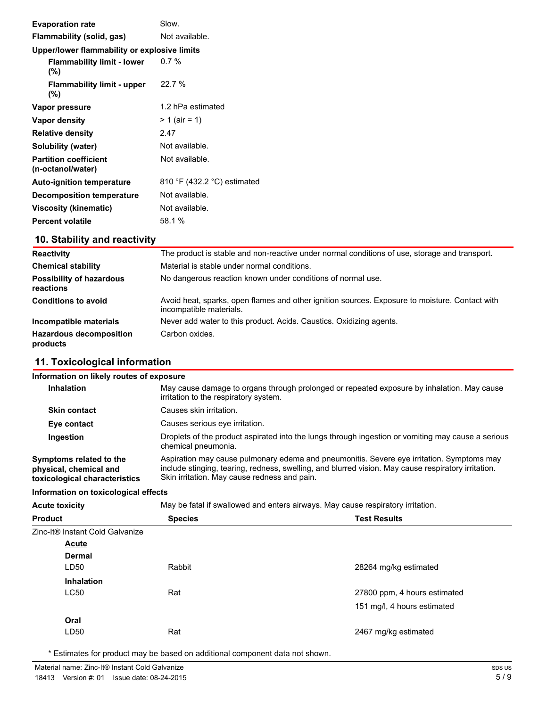| <b>Evaporation rate</b>                           | Slow.                       |
|---------------------------------------------------|-----------------------------|
| Flammability (solid, gas)                         | Not available.              |
| Upper/lower flammability or explosive limits      |                             |
| <b>Flammability limit - lower</b><br>$(\%)$       | 0.7%                        |
| <b>Flammability limit - upper</b><br>$(\%)$       | 22.7 %                      |
| Vapor pressure                                    | 1.2 hPa estimated           |
| Vapor density                                     | $> 1$ (air = 1)             |
| <b>Relative density</b>                           | 2.47                        |
| Solubility (water)                                | Not available.              |
| <b>Partition coefficient</b><br>(n-octanol/water) | Not available.              |
| <b>Auto-ignition temperature</b>                  | 810 °F (432.2 °C) estimated |
| <b>Decomposition temperature</b>                  | Not available.              |
| Viscosity (kinematic)                             | Not available.              |
| <b>Percent volatile</b>                           | 58.1 %                      |
|                                                   |                             |

# **10. Stability and reactivity**

| <b>Reactivity</b>                            | The product is stable and non-reactive under normal conditions of use, storage and transport.                             |
|----------------------------------------------|---------------------------------------------------------------------------------------------------------------------------|
| <b>Chemical stability</b>                    | Material is stable under normal conditions.                                                                               |
| <b>Possibility of hazardous</b><br>reactions | No dangerous reaction known under conditions of normal use.                                                               |
| <b>Conditions to avoid</b>                   | Avoid heat, sparks, open flames and other ignition sources. Exposure to moisture. Contact with<br>incompatible materials. |
| Incompatible materials                       | Never add water to this product. Acids. Caustics. Oxidizing agents.                                                       |
| <b>Hazardous decomposition</b><br>products   | Carbon oxides.                                                                                                            |

# **11. Toxicological information**

| Information on likely routes of exposure                                                                 |                                                                                                                                                                                                                                                  |                              |  |  |  |
|----------------------------------------------------------------------------------------------------------|--------------------------------------------------------------------------------------------------------------------------------------------------------------------------------------------------------------------------------------------------|------------------------------|--|--|--|
| <b>Inhalation</b>                                                                                        | May cause damage to organs through prolonged or repeated exposure by inhalation. May cause<br>irritation to the respiratory system.                                                                                                              |                              |  |  |  |
| Causes skin irritation.<br><b>Skin contact</b>                                                           |                                                                                                                                                                                                                                                  |                              |  |  |  |
| Causes serious eye irritation.<br>Eye contact                                                            |                                                                                                                                                                                                                                                  |                              |  |  |  |
| Ingestion                                                                                                | Droplets of the product aspirated into the lungs through ingestion or vomiting may cause a serious<br>chemical pneumonia.                                                                                                                        |                              |  |  |  |
| Symptoms related to the<br>physical, chemical and<br>toxicological characteristics                       | Aspiration may cause pulmonary edema and pneumonitis. Severe eye irritation. Symptoms may<br>include stinging, tearing, redness, swelling, and blurred vision. May cause respiratory irritation.<br>Skin irritation. May cause redness and pain. |                              |  |  |  |
| Information on toxicological effects                                                                     |                                                                                                                                                                                                                                                  |                              |  |  |  |
| May be fatal if swallowed and enters airways. May cause respiratory irritation.<br><b>Acute toxicity</b> |                                                                                                                                                                                                                                                  |                              |  |  |  |
| <b>Product</b>                                                                                           | <b>Test Results</b><br><b>Species</b>                                                                                                                                                                                                            |                              |  |  |  |
| Zinc-It® Instant Cold Galvanize                                                                          |                                                                                                                                                                                                                                                  |                              |  |  |  |
| <b>Acute</b>                                                                                             |                                                                                                                                                                                                                                                  |                              |  |  |  |
| Dermal                                                                                                   |                                                                                                                                                                                                                                                  |                              |  |  |  |
| LD <sub>50</sub>                                                                                         | Rabbit                                                                                                                                                                                                                                           | 28264 mg/kg estimated        |  |  |  |
| <b>Inhalation</b>                                                                                        |                                                                                                                                                                                                                                                  |                              |  |  |  |
| <b>LC50</b>                                                                                              | Rat                                                                                                                                                                                                                                              | 27800 ppm, 4 hours estimated |  |  |  |
|                                                                                                          |                                                                                                                                                                                                                                                  | 151 mg/l, 4 hours estimated  |  |  |  |
| Oral                                                                                                     |                                                                                                                                                                                                                                                  |                              |  |  |  |
| LD50                                                                                                     |                                                                                                                                                                                                                                                  |                              |  |  |  |

\* Estimates for product may be based on additional component data not shown.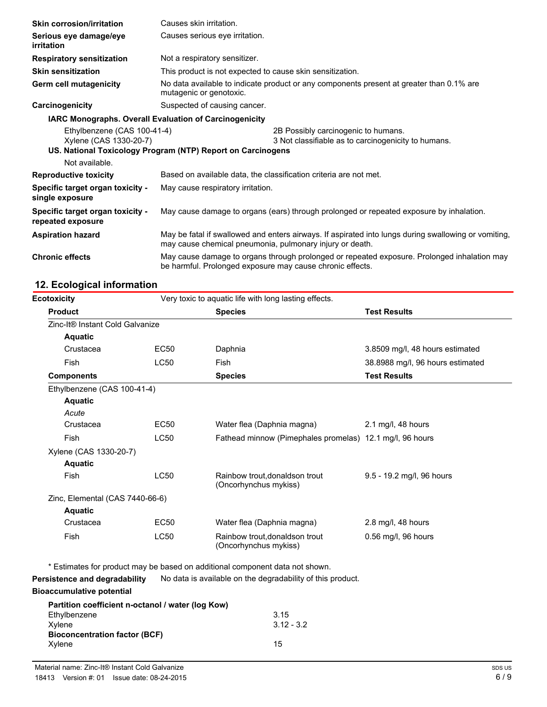| <b>Skin corrosion/irritation</b>                      | Causes skin irritation.                                                                                                                                          |                                                                                            |
|-------------------------------------------------------|------------------------------------------------------------------------------------------------------------------------------------------------------------------|--------------------------------------------------------------------------------------------|
| Serious eye damage/eye<br>irritation                  | Causes serious eye irritation.                                                                                                                                   |                                                                                            |
| <b>Respiratory sensitization</b>                      | Not a respiratory sensitizer.                                                                                                                                    |                                                                                            |
| <b>Skin sensitization</b>                             | This product is not expected to cause skin sensitization.                                                                                                        |                                                                                            |
| Germ cell mutagenicity                                | No data available to indicate product or any components present at greater than 0.1% are<br>mutagenic or genotoxic.                                              |                                                                                            |
| Suspected of causing cancer.<br>Carcinogenicity       |                                                                                                                                                                  |                                                                                            |
|                                                       | <b>IARC Monographs. Overall Evaluation of Carcinogenicity</b>                                                                                                    |                                                                                            |
| Ethylbenzene (CAS 100-41-4)<br>Xylene (CAS 1330-20-7) |                                                                                                                                                                  | 2B Possibly carcinogenic to humans.<br>3 Not classifiable as to carcinogenicity to humans. |
|                                                       | US. National Toxicology Program (NTP) Report on Carcinogens                                                                                                      |                                                                                            |
| Not available.                                        |                                                                                                                                                                  |                                                                                            |
| <b>Reproductive toxicity</b>                          | Based on available data, the classification criteria are not met.                                                                                                |                                                                                            |
| Specific target organ toxicity -<br>single exposure   | May cause respiratory irritation.                                                                                                                                |                                                                                            |
| Specific target organ toxicity -<br>repeated exposure | May cause damage to organs (ears) through prolonged or repeated exposure by inhalation.                                                                          |                                                                                            |
| <b>Aspiration hazard</b>                              | May be fatal if swallowed and enters airways. If aspirated into lungs during swallowing or vomiting,<br>may cause chemical pneumonia, pulmonary injury or death. |                                                                                            |
| <b>Chronic effects</b>                                | May cause damage to organs through prolonged or repeated exposure. Prolonged inhalation may<br>be harmful. Prolonged exposure may cause chronic effects.         |                                                                                            |

### **12. Ecological information**

| <b>Ecotoxicity</b>              |             | Very toxic to aquatic life with long lasting effects.    |                                  |
|---------------------------------|-------------|----------------------------------------------------------|----------------------------------|
| <b>Product</b>                  |             | <b>Species</b>                                           | <b>Test Results</b>              |
| Zinc-It® Instant Cold Galvanize |             |                                                          |                                  |
| <b>Aquatic</b>                  |             |                                                          |                                  |
| Crustacea                       | <b>EC50</b> | Daphnia                                                  | 3.8509 mg/l, 48 hours estimated  |
| Fish                            | <b>LC50</b> | Fish                                                     | 38.8988 mg/l, 96 hours estimated |
| <b>Components</b>               |             | <b>Species</b>                                           | <b>Test Results</b>              |
| Ethylbenzene (CAS 100-41-4)     |             |                                                          |                                  |
| <b>Aquatic</b>                  |             |                                                          |                                  |
| Acute                           |             |                                                          |                                  |
| Crustacea                       | <b>EC50</b> | Water flea (Daphnia magna)                               | 2.1 mg/l, 48 hours               |
| Fish                            | <b>LC50</b> | Fathead minnow (Pimephales promelas) 12.1 mg/l, 96 hours |                                  |
| Xylene (CAS 1330-20-7)          |             |                                                          |                                  |
| <b>Aquatic</b>                  |             |                                                          |                                  |
| <b>Fish</b>                     | <b>LC50</b> | Rainbow trout, donaldson trout<br>(Oncorhynchus mykiss)  | 9.5 - 19.2 mg/l, 96 hours        |
| Zinc, Elemental (CAS 7440-66-6) |             |                                                          |                                  |
| <b>Aquatic</b>                  |             |                                                          |                                  |
| Crustacea                       | <b>EC50</b> | Water flea (Daphnia magna)                               | 2.8 mg/l, 48 hours               |
| Fish                            | <b>LC50</b> | Rainbow trout.donaldson trout<br>(Oncorhynchus mykiss)   | 0.56 mg/l, 96 hours              |

| Partition coefficient n-octanol / water (log Kow) |              |
|---------------------------------------------------|--------------|
| Ethylbenzene                                      | 3.15         |
| Xvlene                                            | $3.12 - 3.2$ |
| <b>Bioconcentration factor (BCF)</b>              |              |
| Xylene                                            | 15           |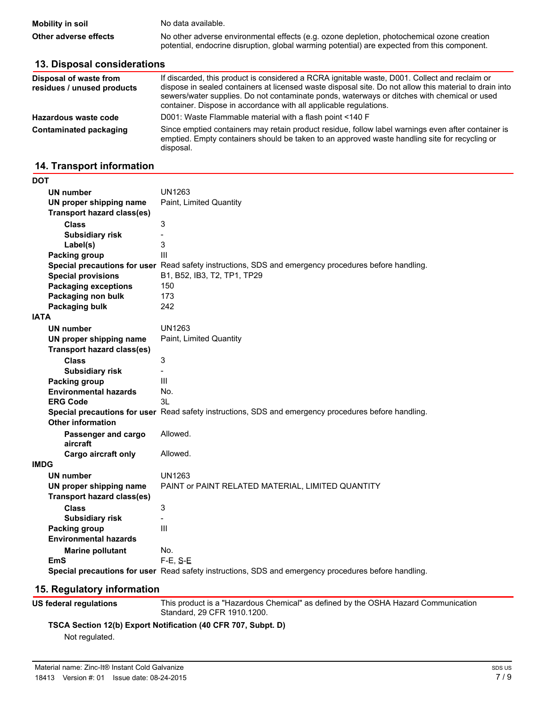| <b>Mobility in soil</b> | No data available.                                                                                                                                                                         |
|-------------------------|--------------------------------------------------------------------------------------------------------------------------------------------------------------------------------------------|
| Other adverse effects   | No other adverse environmental effects (e.g. ozone depletion, photochemical ozone creation<br>potential, endocrine disruption, global warming potential) are expected from this component. |

| 13. Disposal considerations                          |                                                                                                                                                                                                                                                                                                                                                                             |  |  |  |
|------------------------------------------------------|-----------------------------------------------------------------------------------------------------------------------------------------------------------------------------------------------------------------------------------------------------------------------------------------------------------------------------------------------------------------------------|--|--|--|
| Disposal of waste from<br>residues / unused products | If discarded, this product is considered a RCRA ignitable waste, D001. Collect and reclaim or<br>dispose in sealed containers at licensed waste disposal site. Do not allow this material to drain into<br>sewers/water supplies. Do not contaminate ponds, waterways or ditches with chemical or used<br>container. Dispose in accordance with all applicable regulations. |  |  |  |
| Hazardous waste code                                 | D001: Waste Flammable material with a flash point <140 F                                                                                                                                                                                                                                                                                                                    |  |  |  |
| Contaminated packaging                               | Since emptied containers may retain product residue, follow label warnings even after container is<br>emptied. Empty containers should be taken to an approved waste handling site for recycling or<br>disposal.                                                                                                                                                            |  |  |  |

#### **14. Transport information**

| DOT                               |                                                                                                      |
|-----------------------------------|------------------------------------------------------------------------------------------------------|
| <b>UN number</b>                  | UN1263                                                                                               |
| UN proper shipping name           | Paint, Limited Quantity                                                                              |
| <b>Transport hazard class(es)</b> |                                                                                                      |
| <b>Class</b>                      | 3                                                                                                    |
| <b>Subsidiary risk</b>            | $\overline{\phantom{0}}$                                                                             |
| Label(s)                          | 3                                                                                                    |
| <b>Packing group</b>              | III                                                                                                  |
|                                   | Special precautions for user Read safety instructions, SDS and emergency procedures before handling. |
| <b>Special provisions</b>         | B1, B52, IB3, T2, TP1, TP29                                                                          |
| <b>Packaging exceptions</b>       | 150                                                                                                  |
| Packaging non bulk                | 173                                                                                                  |
| Packaging bulk                    | 242                                                                                                  |
| <b>IATA</b>                       |                                                                                                      |
| UN number                         | UN1263                                                                                               |
| UN proper shipping name           | Paint, Limited Quantity                                                                              |
| Transport hazard class(es)        |                                                                                                      |
| <b>Class</b>                      | 3                                                                                                    |
| <b>Subsidiary risk</b>            |                                                                                                      |
| Packing group                     | Ш                                                                                                    |
| <b>Environmental hazards</b>      | No.                                                                                                  |
| <b>ERG Code</b>                   | 31                                                                                                   |
|                                   | Special precautions for user Read safety instructions, SDS and emergency procedures before handling. |
| Other information                 |                                                                                                      |
| Passenger and cargo               | Allowed.                                                                                             |
| aircraft                          |                                                                                                      |
| Cargo aircraft only               | Allowed.                                                                                             |
| IMDG                              |                                                                                                      |
| <b>UN number</b>                  | UN1263                                                                                               |
| UN proper shipping name           | PAINT or PAINT RELATED MATERIAL, LIMITED QUANTITY                                                    |
| <b>Transport hazard class(es)</b> |                                                                                                      |
| <b>Class</b>                      | 3                                                                                                    |
| <b>Subsidiary risk</b>            | $\overline{\phantom{0}}$                                                                             |
| Packing group                     | Ш                                                                                                    |
| <b>Environmental hazards</b>      |                                                                                                      |
| <b>Marine pollutant</b>           | No.                                                                                                  |
| EmS                               | $F-E, S-E$                                                                                           |
|                                   | Special precautions for user Read safety instructions, SDS and emergency procedures before handling. |

# **15. Regulatory information**

**US federal regulations**

This product is a "Hazardous Chemical" as defined by the OSHA Hazard Communication Standard, 29 CFR 1910.1200.

**TSCA Section 12(b) Export Notification (40 CFR 707, Subpt. D)**

Not regulated.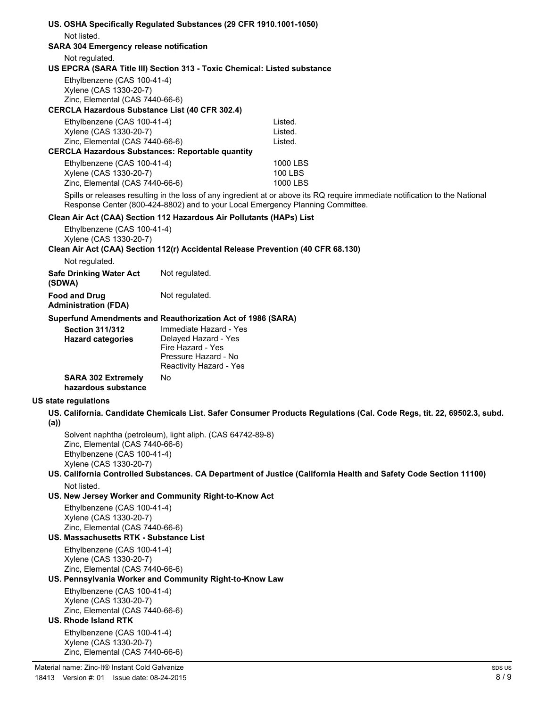|                                                | US. OSHA Specifically Regulated Substances (29 CFR 1910.1001-1050)        |                                                                                  |                                                                                                                              |  |  |
|------------------------------------------------|---------------------------------------------------------------------------|----------------------------------------------------------------------------------|------------------------------------------------------------------------------------------------------------------------------|--|--|
| Not listed.                                    |                                                                           |                                                                                  |                                                                                                                              |  |  |
| <b>SARA 304 Emergency release notification</b> |                                                                           |                                                                                  |                                                                                                                              |  |  |
|                                                | Not regulated.                                                            | US EPCRA (SARA Title III) Section 313 - Toxic Chemical: Listed substance         |                                                                                                                              |  |  |
|                                                | Ethylbenzene (CAS 100-41-4)                                               |                                                                                  |                                                                                                                              |  |  |
|                                                | Xylene (CAS 1330-20-7)                                                    |                                                                                  |                                                                                                                              |  |  |
|                                                | Zinc, Elemental (CAS 7440-66-6)                                           |                                                                                  |                                                                                                                              |  |  |
|                                                | <b>CERCLA Hazardous Substance List (40 CFR 302.4)</b>                     |                                                                                  |                                                                                                                              |  |  |
|                                                | Ethylbenzene (CAS 100-41-4)<br>Xylene (CAS 1330-20-7)                     |                                                                                  | Listed.<br>Listed.                                                                                                           |  |  |
|                                                | Zinc, Elemental (CAS 7440-66-6)                                           |                                                                                  | Listed.                                                                                                                      |  |  |
|                                                | <b>CERCLA Hazardous Substances: Reportable quantity</b>                   |                                                                                  |                                                                                                                              |  |  |
|                                                | Ethylbenzene (CAS 100-41-4)                                               |                                                                                  | 1000 LBS                                                                                                                     |  |  |
|                                                | Xylene (CAS 1330-20-7)                                                    |                                                                                  | 100 LBS                                                                                                                      |  |  |
|                                                | Zinc, Elemental (CAS 7440-66-6)                                           |                                                                                  | 1000 LBS                                                                                                                     |  |  |
|                                                |                                                                           | Response Center (800-424-8802) and to your Local Emergency Planning Committee.   | Spills or releases resulting in the loss of any ingredient at or above its RQ require immediate notification to the National |  |  |
|                                                |                                                                           | Clean Air Act (CAA) Section 112 Hazardous Air Pollutants (HAPs) List             |                                                                                                                              |  |  |
|                                                | Ethylbenzene (CAS 100-41-4)<br>Xylene (CAS 1330-20-7)                     |                                                                                  |                                                                                                                              |  |  |
|                                                | Not regulated.                                                            | Clean Air Act (CAA) Section 112(r) Accidental Release Prevention (40 CFR 68.130) |                                                                                                                              |  |  |
|                                                |                                                                           | Not regulated.                                                                   |                                                                                                                              |  |  |
|                                                | <b>Safe Drinking Water Act</b><br>(SDWA)                                  |                                                                                  |                                                                                                                              |  |  |
|                                                | <b>Food and Drug</b><br><b>Administration (FDA)</b>                       | Not regulated.                                                                   |                                                                                                                              |  |  |
|                                                |                                                                           | Superfund Amendments and Reauthorization Act of 1986 (SARA)                      |                                                                                                                              |  |  |
|                                                | <b>Section 311/312</b>                                                    | Immediate Hazard - Yes                                                           |                                                                                                                              |  |  |
|                                                | <b>Hazard categories</b>                                                  | Delayed Hazard - Yes<br>Fire Hazard - Yes                                        |                                                                                                                              |  |  |
|                                                |                                                                           | Pressure Hazard - No<br>Reactivity Hazard - Yes                                  |                                                                                                                              |  |  |
|                                                | <b>SARA 302 Extremely</b><br>hazardous substance                          | No                                                                               |                                                                                                                              |  |  |
|                                                | US state regulations                                                      |                                                                                  |                                                                                                                              |  |  |
| (a)                                            |                                                                           |                                                                                  | US. California. Candidate Chemicals List. Safer Consumer Products Regulations (Cal. Code Regs, tit. 22, 69502.3, subd        |  |  |
|                                                | Zinc, Elemental (CAS 7440-66-6)                                           | Solvent naphtha (petroleum), light aliph. (CAS 64742-89-8)                       |                                                                                                                              |  |  |
|                                                | Ethylbenzene (CAS 100-41-4)<br>Xylene (CAS 1330-20-7)                     |                                                                                  |                                                                                                                              |  |  |
|                                                |                                                                           |                                                                                  | US. California Controlled Substances. CA Department of Justice (California Health and Safety Code Section 11100)             |  |  |
|                                                | Not listed.                                                               |                                                                                  |                                                                                                                              |  |  |
|                                                |                                                                           | US. New Jersey Worker and Community Right-to-Know Act                            |                                                                                                                              |  |  |
|                                                | Ethylbenzene (CAS 100-41-4)                                               |                                                                                  |                                                                                                                              |  |  |
|                                                | Xylene (CAS 1330-20-7)                                                    |                                                                                  |                                                                                                                              |  |  |
|                                                | Zinc, Elemental (CAS 7440-66-6)<br>US. Massachusetts RTK - Substance List |                                                                                  |                                                                                                                              |  |  |
|                                                | Ethylbenzene (CAS 100-41-4)                                               |                                                                                  |                                                                                                                              |  |  |
|                                                | Xylene (CAS 1330-20-7)                                                    |                                                                                  |                                                                                                                              |  |  |
|                                                | Zinc, Elemental (CAS 7440-66-6)                                           |                                                                                  |                                                                                                                              |  |  |
|                                                |                                                                           | US. Pennsylvania Worker and Community Right-to-Know Law                          |                                                                                                                              |  |  |
|                                                | Ethylbenzene (CAS 100-41-4)<br>Xylene (CAS 1330-20-7)                     |                                                                                  |                                                                                                                              |  |  |
|                                                | Zinc, Elemental (CAS 7440-66-6)                                           |                                                                                  |                                                                                                                              |  |  |
|                                                | <b>US. Rhode Island RTK</b>                                               |                                                                                  |                                                                                                                              |  |  |
|                                                |                                                                           |                                                                                  |                                                                                                                              |  |  |

Ethylbenzene (CAS 100-41-4) Xylene (CAS 1330-20-7) Zinc, Elemental (CAS 7440-66-6)